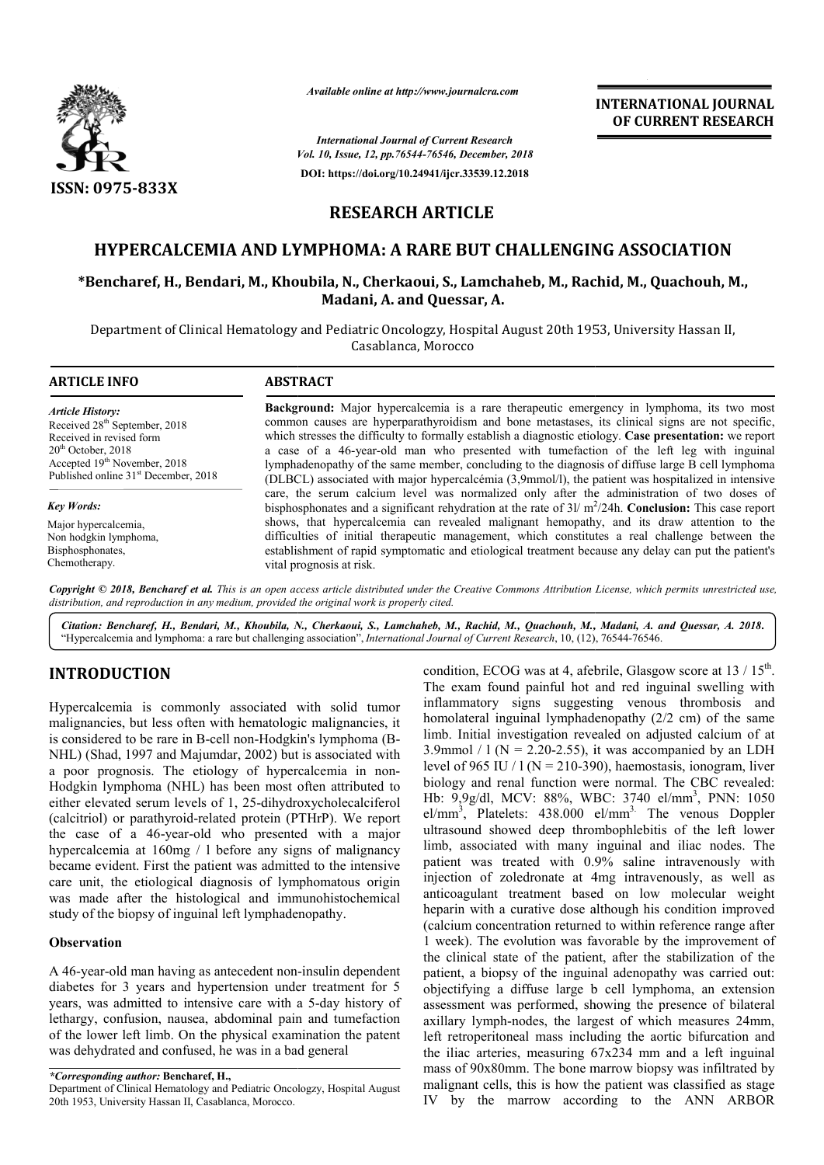

*Available online at http://www.journalcra.com*

*Vol. 10, Issue, 12, pp. pp.76544-76546, December, 2018 International Journal of Current Research* **DOI: https://doi.org/10.24941/ijcr.33539.12.2018** **INTERNATIONAL JOURNAL OF CURRENT RESEARCH**

# **RESEARCH ARTICLE**

## **HYPERCALCEMIA AND LYMPHOMA: A RARE BUT CHALLENGING ASSOCIATION**

## **\*Bencharef, H., Bendari, M., Khoubila, N., Cherkaoui, S., Lamchaheb, M., Rachid, M., Quachouh, M., Madani, A. and Quessar, A.**

Department of Clinical Hematology and Pediatric Oncologzy, Hospital August 20th 1953, University Hassan II, Casablanca, Morocco

| <b>ARTICLE INFO</b>                              | <b>ABSTRACT</b>                                                                                                                                                                                        |
|--------------------------------------------------|--------------------------------------------------------------------------------------------------------------------------------------------------------------------------------------------------------|
| <b>Article History:</b>                          | <b>Background:</b> Major hypercalcemia is a rare therapeutic emergency in lymphoma, its two most                                                                                                       |
| Received 28 <sup>th</sup> September, 2018        | common causes are hyperparathyroidism and bone metastases, its clinical signs are not specific,                                                                                                        |
| Received in revised form                         | which stresses the difficulty to formally establish a diagnostic etiology. Case presentation: we report                                                                                                |
| $20th$ October, 2018                             | a case of a 46-year-old man who presented with tumefaction of the left leg with inguinal                                                                                                               |
| Accepted 19 <sup>th</sup> November, 2018         | lymphadenopathy of the same member, concluding to the diagnosis of diffuse large B cell lymphoma                                                                                                       |
| Published online 31 <sup>st</sup> December, 2018 | (DLBCL) associated with major hypercalcémia (3.9mmol/l), the patient was hospitalized in intensive                                                                                                     |
| Key Words:                                       | care, the serum calcium level was normalized only after the administration of two doses of<br>bisphosphonates and a significant rehydration at the rate of $3l/m^2/24h$ . Conclusion: This case report |
| Major hypercalcemia,                             | shows, that hypercalcemia can revealed malignant hemopathy, and its draw attention to the                                                                                                              |
| Non hodgkin lymphoma,                            | difficulties of initial therapeutic management, which constitutes a real challenge between the                                                                                                         |
| Bisphosphonates,                                 | establishment of rapid symptomatic and etiological treatment because any delay can put the patient's                                                                                                   |

Copyright © 2018, Bencharef et al. This is an open access article distributed under the Creative Commons Attribution License, which permits unrestricted use, *distribution, and reproduction in any medium, provided the original work is properly cited.*

vital prognosis at risk.

Citation: Bencharef, H., Bendari, M., Khoubila, N., Cherkaoui, S., Lamchaheb, M., Rachid, M., Quachouh, M., Madani, A. and Quessar, A. 2018. "Hypercalcemia and lymphoma: a rare but challenging association", *International Journal of Current Research*, 10, (12), 76544-76546.

## **INTRODUCTION**

Chemotherapy.

Hypercalcemia is commonly associated with solid tumor malignancies, but less often with hematologic malignancies, it is considered to be rare in B-cell non-Hodgkin's lymphoma (B-NHL) (Shad, 1997 and Majumdar, 2002) but is associated with a poor prognosis. The etiology of hypercalcemia in non-Hodgkin lymphoma (NHL) has been most often attributed to either elevated serum levels of 1, 25-dihydroxycholecalciferol (calcitriol) or parathyroid-related protein (PTHrP). We report the case of a 46-year-old who presented with a major hypercalcemia at 160mg / l before any signs of malignancy became evident. First the patient was admitted to the intensive care unit, the etiological diagnosis of lymphomatous origin was made after the histological and immunohistochemical study of the biopsy of inguinal left lymphadenopathy. 46-year-old who presented with a major<br>at  $160mg / 1$  before any signs of malignancy<br>. First the patient was admitted to the intensive<br>etiological diagnosis of lymphomatous origin<br>ar the histological and immunohistochemical

#### **Observation**

A 46-year-old man having as antecedent nondiabetes for 3 years and hypertension under treatment for 5 years, was admitted to intensive care with a 5 5-day history of lethargy, confusion, nausea, abdominal pain and tumefaction of the lower left limb. On the physical examination the patent was dehydrated and confused, he was in a bad general

*\*Corresponding author:* **Bencharef, H.,**

Department of Clinical Hematology and Pediatric Oncologzy, Hospital August 20th 1953, University Hassan II, Casablanca, Morocco.

condition, ECOG was at 4, afebrile<br>
ly associated with solid tumor<br>
inflemamatory signs suggesting<br>
with hematologic malignancies, it<br>
lomolateral inguinal lymphadenor<br>
c-ell non-Hodgkin's lymphoma (B-<br>
limb. Initial inve The exam found painful hot and red inguinal swelling with inflammatory signs suggesting venous thrombosis and homolateral inguinal lymphadenopathy (2/2 cm) of the same limb. Initial investigation revealed on adjusted calcium of at 3.9mmol /  $1 (N = 2.20 - 2.55)$ , it was accompanied by an LDH level of 965 IU /  $1 (N = 210-390)$ , haemostasis, ionogram, liver biology and renal function were normal. The CBC revealed: The exam found painful hot and red inguinal swelling with inflammatory signs suggesting venous thrombosis and homolateral inguinal lymphadenopathy (2/2 cm) of the same limb. Initial investigation revealed on adjusted calc el/mm<sup>3</sup>, Platelets: 438.000 el/mm<sup>3.</sup> The venous Doppler ultrasound showed deep thrombophlebitis of the left lower limb, associated with many inguinal and iliac nodes. The patient was treated with 0.9% saline intravenously with injection of zoledronate at 4mg intravenously, as well as anticoagulant treatment based on low molecular weight heparin with a curative dose although his condition improved (calcium concentration returned to within reference range after 1 week). The evolution was favorable by the improvement of injection of zoledronate at 4mg intravenously, as well as anticoagulant treatment based on low molecular weight heparin with a curative dose although his condition improved (calcium concentration returned to within referen patient, a biopsy of the inguinal adenopathy was carried out: objectifying a diffuse large b cell lymphoma, an extension assessment was performed, showing the presence of bilateral axillary lymph-nodes, the largest of which measures 24mm, left retroperitoneal mass including the aortic bifurcation and the iliac arteries, measuring 67x234 mm and a left inguinal mass of 90x80mm. The bone marrow biopsy was infiltrated by malignant cells, this is how the patient was classified as stage IV by the marrow according to the ANN ARBOR condition, ECOG was at 4, afebrile, Glasgow score at  $13 / 15^{th}$ . a biopsy of the inguinal adenopathy was carried out:<br>
ying a diffuse large b cell lymphoma, an extension<br>
ent was performed, showing the presence of bilateral<br>
lymph-nodes, the largest of which measures 24mm, m, measuring  $67x234$  mm and a left inguinal m. The bone marrow biopsy was infiltrated by this is how the patient was classified as stage **NAL JOURNAL**<br> **NAL JOURNAL**<br> **NAL JOURNAL**<br> **NT RESEARCH**<br> **NT RESEARCH**<br> **NT RESEARCH**<br> **NT**<br> **NT**<br> **NT**<br> **NT**<br> **NT**<br> **NT**<br> **NT**<br> **NT**<br> **NT**<br> **NT**<br> **NT**<br> **NT**<br> **NT**<br> **NT**<br> **NT**<br> **NT**<br> **NT**<br> **NT**<br> **NT**<br> **NT**<br> **NET**<br> **NET**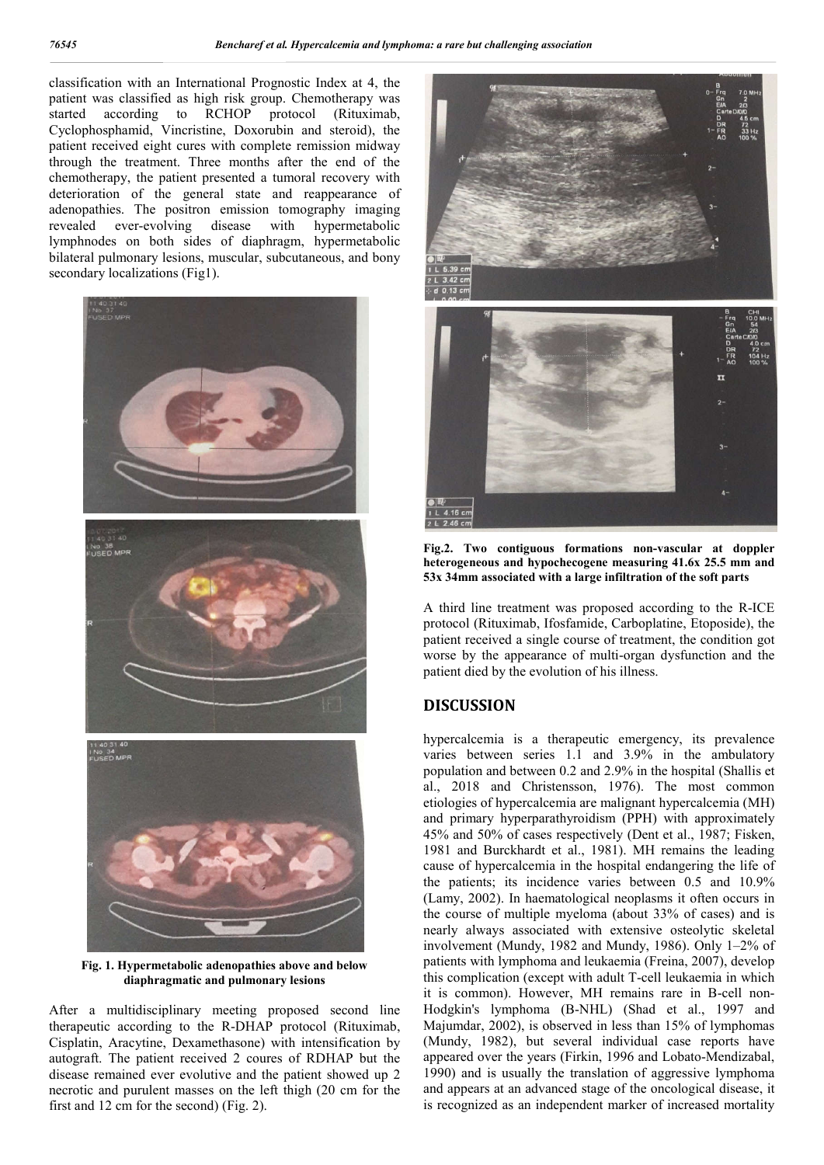classification with an International Prognostic Index at 4, the patient was classified as high risk group. Chemotherapy was started according to RCHOP protocol (Rituximab, Cyclophosphamid, Vincristine, Doxorubin and steroid), the patient received eight cures with complete remission midway through the treatment. Three months after the end of the chemotherapy, the patient presented a tumoral recovery with deterioration of the general state and reappearance of adenopathies. The positron emission tomography imaging revealed ever-evolving disease with hypermetabolic lymphnodes on both sides of diaphragm, hypermetabolic bilateral pulmonary lesions, muscular, subcutaneous, and bony secondary localizations (Fig1).



**Fig. 1. Hypermetabolic adenopathies above and below diaphragmatic and pulmonary lesions**

After a multidisciplinary meeting proposed second line therapeutic according to the R-DHAP protocol (Rituximab, Cisplatin, Aracytine, Dexamethasone) with intensification by autograft. The patient received 2 coures of RDHAP but the disease remained ever evolutive and the patient showed up 2 necrotic and purulent masses on the left thigh (20 cm for the first and 12 cm for the second) (Fig. 2).



**Fig.2. Two contiguous formations non-vascular at doppler heterogeneous and hypochecogene measuring 41.6x 25.5 mm and 53x 34mm associated with a large infiltration of the soft parts**

A third line treatment was proposed according to the R-ICE protocol (Rituximab, Ifosfamide, Carboplatine, Etoposide), the patient received a single course of treatment, the condition got worse by the appearance of multi-organ dysfunction and the patient died by the evolution of his illness.

### **DISCUSSION**

hypercalcemia is a therapeutic emergency, its prevalence varies between series 1.1 and 3.9% in the ambulatory population and between 0.2 and 2.9% in the hospital (Shallis et al., 2018 and Christensson, 1976). The most common etiologies of hypercalcemia are malignant hypercalcemia (MH) and primary hyperparathyroidism (PPH) with approximately 45% and 50% of cases respectively (Dent et al., 1987; Fisken, 1981 and Burckhardt et al., 1981). MH remains the leading cause of hypercalcemia in the hospital endangering the life of the patients; its incidence varies between 0.5 and 10.9% (Lamy, 2002). In haematological neoplasms it often occurs in the course of multiple myeloma (about 33% of cases) and is nearly always associated with extensive osteolytic skeletal involvement (Mundy, 1982 and Mundy, 1986). Only 1–2% of patients with lymphoma and leukaemia (Freina, 2007), develop this complication (except with adult T-cell leukaemia in which it is common). However, MH remains rare in B-cell non-Hodgkin's lymphoma (B-NHL) (Shad et al., 1997 and Majumdar, 2002), is observed in less than 15% of lymphomas (Mundy, 1982), but several individual case reports have appeared over the years (Firkin, 1996 and Lobato-Mendizabal, 1990) and is usually the translation of aggressive lymphoma and appears at an advanced stage of the oncological disease, it is recognized as an independent marker of increased mortality